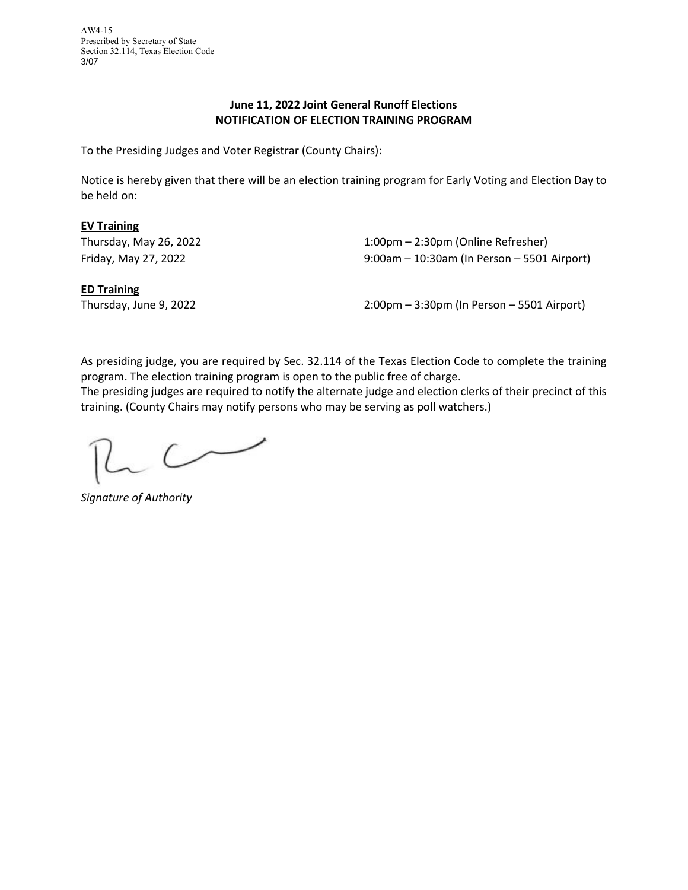AW4-15 Prescribed by Secretary of State Section 32.114, Texas Election Code 3/07

## **June 11, 2022 Joint General Runoff Elections NOTIFICATION OF ELECTION TRAINING PROGRAM**

To the Presiding Judges and Voter Registrar (County Chairs):

Notice is hereby given that there will be an election training program for Early Voting and Election Day to be held on:

## **EV Training**

Thursday, May 26, 2022 **1:00pm – 2:30pm (Online Refresher)** Friday, May 27, 2022 9:00am – 10:30am (In Person – 5501 Airport)

**ED Training**

Thursday, June 9, 2022 2:00pm – 3:30pm (In Person – 5501 Airport)

As presiding judge, you are required by Sec. 32.114 of the Texas Election Code to complete the training program. The election training program is open to the public free of charge.

The presiding judges are required to notify the alternate judge and election clerks of their precinct of this training. (County Chairs may notify persons who may be serving as poll watchers.)

 $\sim$ 

*Signature of Authority*